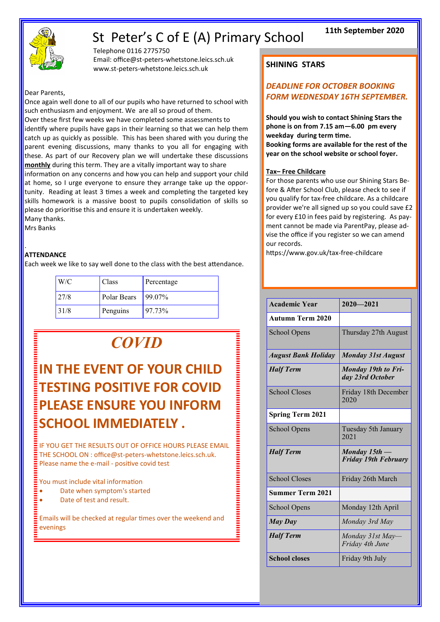# St Peter's C of E (A) Primary School



Telephone 0116 2775750 Email: office@st-peters-whetstone.leics.sch.uk www.st-peters-whetstone.leics.sch.uk

Dear Parents,

Once again well done to all of our pupils who have returned to school with such enthusiasm and enjoyment. We are all so proud of them. Over these first few weeks we have completed some assessments to identify where pupils have gaps in their learning so that we can help them catch up as quickly as possible. This has been shared with you during the parent evening discussions, many thanks to you all for engaging with these. As part of our Recovery plan we will undertake these discussions **monthly** during this term. They are a vitally important way to share information on any concerns and how you can help and support your child at home, so I urge everyone to ensure they arrange take up the opportunity. Reading at least 3 times a week and completing the targeted key skills homework is a massive boost to pupils consolidation of skills so please do prioritise this and ensure it is undertaken weekly. Many thanks.

Mrs Banks

#### . **ATTENDANCE**

Each week we like to say well done to the class with the best attendance.

| W/C  | Class       | Percentage |
|------|-------------|------------|
| 27/8 | Polar Bears | $199.07\%$ |
| 31/8 | Penguins    | 97.73%     |

# *COVID*

# **IN THE EVENT OF YOUR CHILD TESTING POSITIVE FOR COVID PLEASE ENSURE YOU INFORM SCHOOL IMMEDIATELY .**

IF YOU GET THE RESULTS OUT OF OFFICE HOURS PLEASE EMAIL THE SCHOOL ON : office@st-peters-whetstone.leics.sch.uk. Please name the e-mail - positive covid test

#### You must include vital information

- Date when symptom's started
- Date of test and result.

Emails will be checked at regular times over the weekend and evenings

## **SHINING STARS**

### *DEADLINE FOR OCTOBER BOOKING FORM WEDNESDAY 16TH SEPTEMBER.*

**Should you wish to contact Shining Stars the phone is on from 7.15 am—6.00 pm every weekday during term time.**

**Booking forms are available for the rest of the year on the school website or school foyer.**

#### **Tax– Free Childcare**

For those parents who use our Shining Stars Before & After School Club, please check to see if you qualify for tax-free childcare. As a childcare provider we're all signed up so you could save £2 for every £10 in fees paid by registering. As payment cannot be made via ParentPay, please advise the office if you register so we can amend our records.

https://www.gov.uk/tax-free-childcare

| <b>Academic Year</b>       | $2020 - 2021$                                  |  |  |
|----------------------------|------------------------------------------------|--|--|
| <b>Autumn Term 2020</b>    |                                                |  |  |
| School Opens               | Thursday 27th August                           |  |  |
| <b>August Bank Holiday</b> | <b>Monday 31st August</b>                      |  |  |
| <b>Half Term</b>           | <b>Monday 19th to Fri-</b><br>day 23rd October |  |  |
| <b>School Closes</b>       | Friday 18th December<br>2020                   |  |  |
| <b>Spring Term 2021</b>    |                                                |  |  |
| <b>School Opens</b>        | Tuesday 5th January<br>2021                    |  |  |
| <b>Half Term</b>           | Monday 15th -<br><b>Friday 19th February</b>   |  |  |
| <b>School Closes</b>       | Friday 26th March                              |  |  |
| <b>Summer Term 2021</b>    |                                                |  |  |
| <b>School Opens</b>        | Monday 12th April                              |  |  |
| <b>May Day</b>             | Monday 3rd May                                 |  |  |
| <b>Half Term</b>           | Monday 31st May-<br>Friday 4th June            |  |  |
| <b>School closes</b>       | Friday 9th July                                |  |  |